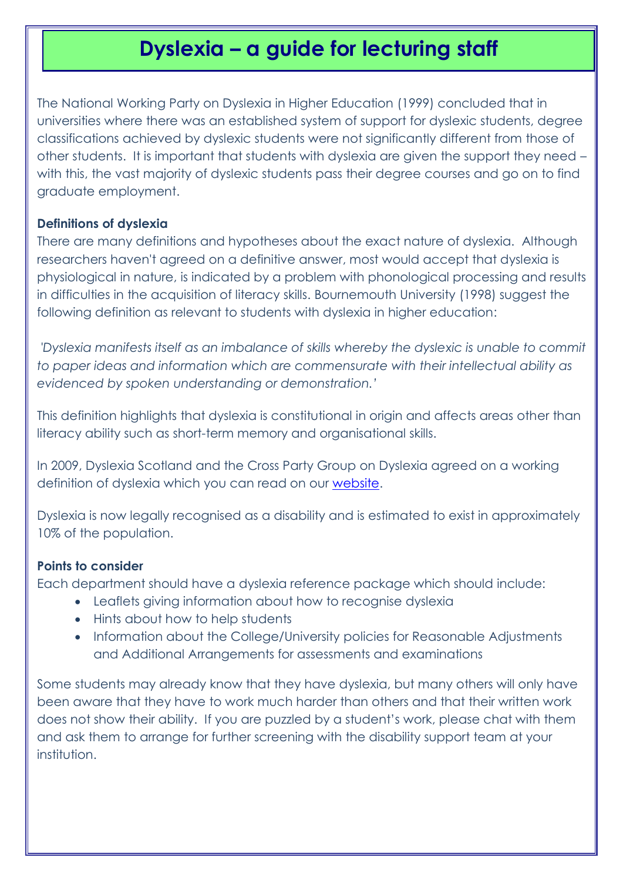# **Dyslexia – a guide for lecturing staff**

The National Working Party on Dyslexia in Higher Education (1999) concluded that in universities where there was an established system of support for dyslexic students, degree classifications achieved by dyslexic students were not significantly different from those of other students. It is important that students with dyslexia are given the support they need – with this, the vast majority of dyslexic students pass their degree courses and go on to find graduate employment.

#### **Definitions of dyslexia**

There are many definitions and hypotheses about the exact nature of dyslexia. Although researchers haven't agreed on a definitive answer, most would accept that dyslexia is physiological in nature, is indicated by a problem with phonological processing and results in difficulties in the acquisition of literacy skills. Bournemouth University (1998) suggest the following definition as relevant to students with dyslexia in higher education:

*'Dyslexia manifests itself as an imbalance of skills whereby the dyslexic is unable to commit to paper ideas and information which are commensurate with their intellectual ability as evidenced by spoken understanding or demonstration.'*

This definition highlights that dyslexia is constitutional in origin and affects areas other than literacy ability such as short-term memory and organisational skills.

In 2009, Dyslexia Scotland and the Cross Party Group on Dyslexia agreed on a working definition of dyslexia which you can read on our [website.](http://www.dyslexiascotland.org.uk/definition-dyslexia)

Dyslexia is now legally recognised as a disability and is estimated to exist in approximately 10% of the population.

#### **Points to consider**

Each department should have a dyslexia reference package which should include:

- Leaflets giving information about how to recognise dyslexia
- Hints about how to help students
- Information about the College/University policies for Reasonable Adjustments and Additional Arrangements for assessments and examinations

Some students may already know that they have dyslexia, but many others will only have been aware that they have to work much harder than others and that their written work does not show their ability. If you are puzzled by a student's work, please chat with them and ask them to arrange for further screening with the disability support team at your institution.